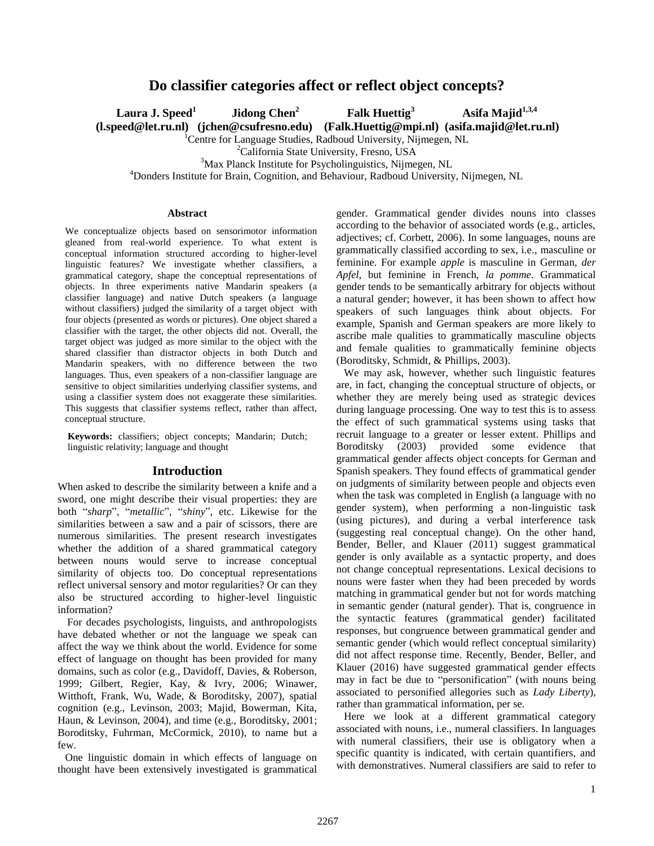# **Do classifier categories affect or reflect object concepts?**

**Laura J. Speed<sup>1</sup>**

**Jidong Chen<sup>2</sup> Falk Huettig<sup>3</sup> Asifa Majid1,3,4**

 **(l.speed@let.ru.nl) (jchen@csufresno.edu) (Falk.Huettig@mpi.nl) (asifa.majid@let.ru.nl)**

<sup>1</sup>Centre for Language Studies, Radboud University, Nijmegen, NL

<sup>2</sup>California State University, Fresno, USA

<sup>3</sup>Max Planck Institute for Psycholinguistics, Nijmegen, NL

<sup>4</sup>Donders Institute for Brain, Cognition, and Behaviour, Radboud University, Nijmegen, NL

### **Abstract**

We conceptualize objects based on sensorimotor information gleaned from real-world experience. To what extent is conceptual information structured according to higher-level linguistic features? We investigate whether classifiers, a grammatical category, shape the conceptual representations of objects. In three experiments native Mandarin speakers (a classifier language) and native Dutch speakers (a language without classifiers) judged the similarity of a target object with four objects (presented as words or pictures). One object shared a classifier with the target, the other objects did not. Overall, the target object was judged as more similar to the object with the shared classifier than distractor objects in both Dutch and Mandarin speakers, with no difference between the two languages. Thus, even speakers of a non-classifier language are sensitive to object similarities underlying classifier systems, and using a classifier system does not exaggerate these similarities. This suggests that classifier systems reflect, rather than affect, conceptual structure.

**Keywords:** classifiers; object concepts; Mandarin; Dutch; linguistic relativity; language and thought

### **Introduction**

When asked to describe the similarity between a knife and a sword, one might describe their visual properties: they are both "*sharp*", "*metallic*", "*shiny*", etc. Likewise for the similarities between a saw and a pair of scissors, there are numerous similarities. The present research investigates whether the addition of a shared grammatical category between nouns would serve to increase conceptual similarity of objects too. Do conceptual representations reflect universal sensory and motor regularities? Or can they also be structured according to higher-level linguistic information?

For decades psychologists, linguists, and anthropologists have debated whether or not the language we speak can affect the way we think about the world. Evidence for some effect of language on thought has been provided for many domains, such as color (e.g., Davidoff, Davies, & Roberson, 1999; Gilbert, Regier, Kay, & Ivry, 2006; Winawer, Witthoft, Frank, Wu, Wade, & Boroditsky, 2007), spatial cognition (e.g., Levinson, 2003; Majid, Bowerman, Kita, Haun, & Levinson, 2004), and time (e.g., Boroditsky, 2001; Boroditsky, Fuhrman, McCormick, 2010), to name but a few.

One linguistic domain in which effects of language on thought have been extensively investigated is grammatical gender. Grammatical gender divides nouns into classes according to the behavior of associated words (e.g., articles, adjectives; cf. Corbett, 2006). In some languages, nouns are grammatically classified according to sex, i.e., masculine or feminine. For example *apple* is masculine in German, *der Apfel*, but feminine in French, *la pomme*. Grammatical gender tends to be semantically arbitrary for objects without a natural gender; however, it has been shown to affect how speakers of such languages think about objects. For example, Spanish and German speakers are more likely to ascribe male qualities to grammatically masculine objects and female qualities to grammatically feminine objects (Boroditsky, Schmidt, & Phillips, 2003).

We may ask, however, whether such linguistic features are, in fact, changing the conceptual structure of objects, or whether they are merely being used as strategic devices during language processing. One way to test this is to assess the effect of such grammatical systems using tasks that recruit language to a greater or lesser extent. Phillips and Boroditsky (2003) provided some evidence that grammatical gender affects object concepts for German and Spanish speakers. They found effects of grammatical gender on judgments of similarity between people and objects even when the task was completed in English (a language with no gender system), when performing a non-linguistic task (using pictures), and during a verbal interference task (suggesting real conceptual change). On the other hand, Bender, Beller, and Klauer (2011) suggest grammatical gender is only available as a syntactic property, and does not change conceptual representations. Lexical decisions to nouns were faster when they had been preceded by words matching in grammatical gender but not for words matching in semantic gender (natural gender). That is, congruence in the syntactic features (grammatical gender) facilitated responses, but congruence between grammatical gender and semantic gender (which would reflect conceptual similarity) did not affect response time. Recently, Bender, Beller, and Klauer (2016) have suggested grammatical gender effects may in fact be due to "personification" (with nouns being associated to personified allegories such as *Lady Liberty*), rather than grammatical information, per se.

Here we look at a different grammatical category associated with nouns, i.e., numeral classifiers. In languages with numeral classifiers, their use is obligatory when a specific quantity is indicated, with certain quantifiers, and with demonstratives. Numeral classifiers are said to refer to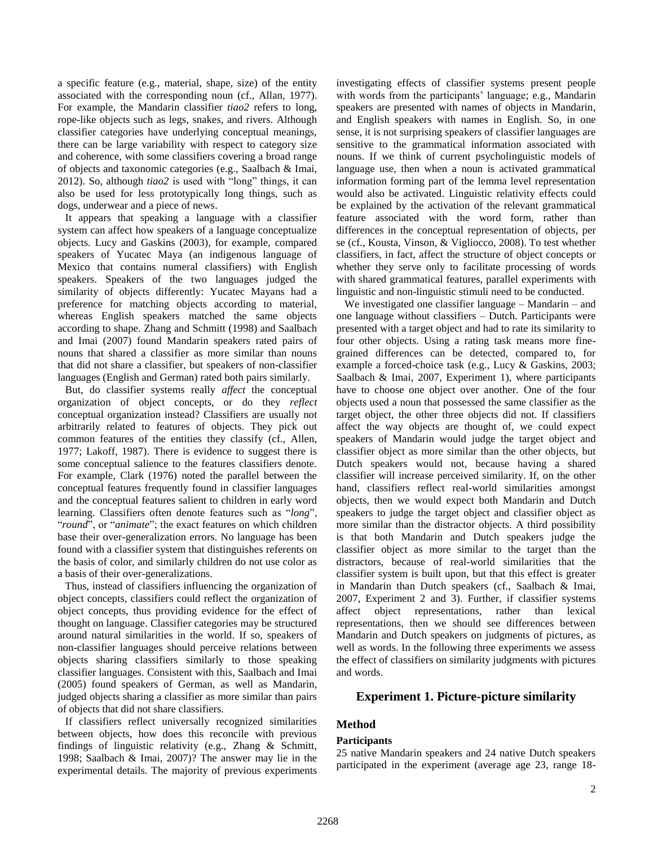a specific feature (e.g., material, shape, size) of the entity associated with the corresponding noun (cf., Allan, 1977). For example, the Mandarin classifier *tiao2* refers to long, rope-like objects such as legs, snakes, and rivers. Although classifier categories have underlying conceptual meanings, there can be large variability with respect to category size and coherence, with some classifiers covering a broad range of objects and taxonomic categories (e.g., Saalbach & Imai, 2012). So, although *tiao2* is used with "long" things, it can also be used for less prototypically long things, such as dogs, underwear and a piece of news.

It appears that speaking a language with a classifier system can affect how speakers of a language conceptualize objects. Lucy and Gaskins (2003), for example, compared speakers of Yucatec Maya (an indigenous language of Mexico that contains numeral classifiers) with English speakers. Speakers of the two languages judged the similarity of objects differently: Yucatec Mayans had a preference for matching objects according to material, whereas English speakers matched the same objects according to shape. Zhang and Schmitt (1998) and Saalbach and Imai (2007) found Mandarin speakers rated pairs of nouns that shared a classifier as more similar than nouns that did not share a classifier, but speakers of non-classifier languages (English and German) rated both pairs similarly.

But, do classifier systems really *affect* the conceptual organization of object concepts, or do they *reflect* conceptual organization instead? Classifiers are usually not arbitrarily related to features of objects. They pick out common features of the entities they classify (cf., Allen, 1977; Lakoff, 1987). There is evidence to suggest there is some conceptual salience to the features classifiers denote. For example, Clark (1976) noted the parallel between the conceptual features frequently found in classifier languages and the conceptual features salient to children in early word learning. Classifiers often denote features such as "*long*", "*round*", or "*animate*"; the exact features on which children base their over-generalization errors. No language has been found with a classifier system that distinguishes referents on the basis of color, and similarly children do not use color as a basis of their over-generalizations.

Thus, instead of classifiers influencing the organization of object concepts, classifiers could reflect the organization of object concepts, thus providing evidence for the effect of thought on language. Classifier categories may be structured around natural similarities in the world. If so, speakers of non-classifier languages should perceive relations between objects sharing classifiers similarly to those speaking classifier languages. Consistent with this, Saalbach and Imai (2005) found speakers of German, as well as Mandarin, judged objects sharing a classifier as more similar than pairs of objects that did not share classifiers.

If classifiers reflect universally recognized similarities between objects, how does this reconcile with previous findings of linguistic relativity (e.g., Zhang & Schmitt, 1998; Saalbach & Imai, 2007)? The answer may lie in the experimental details. The majority of previous experiments investigating effects of classifier systems present people with words from the participants' language; e.g., Mandarin speakers are presented with names of objects in Mandarin, and English speakers with names in English. So, in one sense, it is not surprising speakers of classifier languages are sensitive to the grammatical information associated with nouns. If we think of current psycholinguistic models of language use, then when a noun is activated grammatical information forming part of the lemma level representation would also be activated. Linguistic relativity effects could be explained by the activation of the relevant grammatical feature associated with the word form, rather than differences in the conceptual representation of objects, per se (cf., Kousta, Vinson, & Vigliocco, 2008). To test whether classifiers, in fact, affect the structure of object concepts or whether they serve only to facilitate processing of words with shared grammatical features, parallel experiments with linguistic and non-linguistic stimuli need to be conducted.

We investigated one classifier language – Mandarin – and one language without classifiers – Dutch. Participants were presented with a target object and had to rate its similarity to four other objects. Using a rating task means more finegrained differences can be detected, compared to, for example a forced-choice task (e.g., Lucy & Gaskins, 2003; Saalbach & Imai, 2007, Experiment 1), where participants have to choose one object over another. One of the four objects used a noun that possessed the same classifier as the target object, the other three objects did not. If classifiers affect the way objects are thought of, we could expect speakers of Mandarin would judge the target object and classifier object as more similar than the other objects, but Dutch speakers would not, because having a shared classifier will increase perceived similarity. If, on the other hand, classifiers reflect real-world similarities amongst objects, then we would expect both Mandarin and Dutch speakers to judge the target object and classifier object as more similar than the distractor objects. A third possibility is that both Mandarin and Dutch speakers judge the classifier object as more similar to the target than the distractors, because of real-world similarities that the classifier system is built upon, but that this effect is greater in Mandarin than Dutch speakers (cf., Saalbach & Imai, 2007, Experiment 2 and 3). Further, if classifier systems affect object representations, rather than lexical representations, then we should see differences between Mandarin and Dutch speakers on judgments of pictures, as well as words. In the following three experiments we assess the effect of classifiers on similarity judgments with pictures and words.

# **Experiment 1. Picture-picture similarity**

# **Method**

# **Participants**

25 native Mandarin speakers and 24 native Dutch speakers participated in the experiment (average age 23, range 18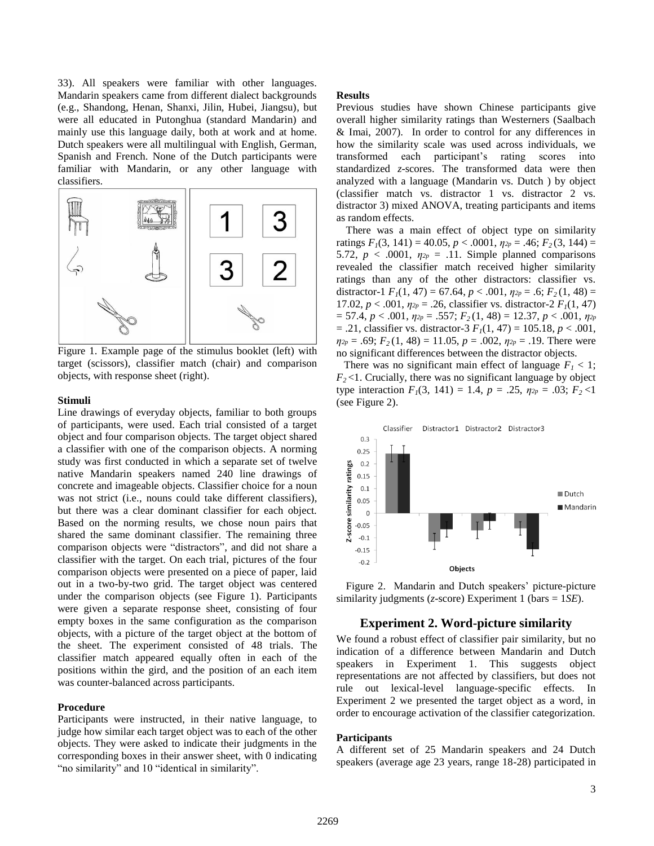33). All speakers were familiar with other languages. Mandarin speakers came from different dialect backgrounds (e.g., Shandong, Henan, Shanxi, Jilin, Hubei, Jiangsu), but were all educated in Putonghua (standard Mandarin) and mainly use this language daily, both at work and at home. Dutch speakers were all multilingual with English, German, Spanish and French. None of the Dutch participants were familiar with Mandarin, or any other language with classifiers.



Figure 1. Example page of the stimulus booklet (left) with target (scissors), classifier match (chair) and comparison objects, with response sheet (right).

### **Stimuli**

Line drawings of everyday objects, familiar to both groups of participants, were used. Each trial consisted of a target object and four comparison objects. The target object shared a classifier with one of the comparison objects. A norming study was first conducted in which a separate set of twelve native Mandarin speakers named 240 line drawings of concrete and imageable objects. Classifier choice for a noun was not strict (i.e., nouns could take different classifiers), but there was a clear dominant classifier for each object. Based on the norming results, we chose noun pairs that shared the same dominant classifier. The remaining three comparison objects were "distractors", and did not share a classifier with the target. On each trial, pictures of the four comparison objects were presented on a piece of paper, laid out in a two-by-two grid. The target object was centered under the comparison objects (see Figure 1). Participants were given a separate response sheet, consisting of four empty boxes in the same configuration as the comparison objects, with a picture of the target object at the bottom of the sheet. The experiment consisted of 48 trials. The classifier match appeared equally often in each of the positions within the gird, and the position of an each item was counter-balanced across participants.

#### **Procedure**

Participants were instructed, in their native language, to judge how similar each target object was to each of the other objects. They were asked to indicate their judgments in the corresponding boxes in their answer sheet, with 0 indicating "no similarity" and 10 "identical in similarity".

### **Results**

Previous studies have shown Chinese participants give overall higher similarity ratings than Westerners (Saalbach & Imai, 2007). In order to control for any differences in how the similarity scale was used across individuals, we transformed each participant's rating scores into standardized *z*-scores. The transformed data were then analyzed with a language (Mandarin vs. Dutch ) by object (classifier match vs. distractor 1 vs. distractor 2 vs. distractor 3) mixed ANOVA, treating participants and items as random effects.

There was a main effect of object type on similarity ratings  $F_1(3, 141) = 40.05$ ,  $p < .0001$ ,  $p_{2p} = .46$ ;  $F_2(3, 144) =$ 5.72,  $p < .0001$ ,  $\eta_{2p} = .11$ . Simple planned comparisons revealed the classifier match received higher similarity ratings than any of the other distractors: classifier vs. distractor-1  $F_1(1, 47) = 67.64, p < .001, \eta_{2p} = .6; F_2(1, 48) =$ 17.02,  $p < .001$ ,  $\eta_{2p} = .26$ , classifier vs. distractor-2  $F_I(1, 47)$ = 57.4, *p* < .001, *η2p* = .557; *F2* (1, 48) = 12.37, *p* < .001, *η2p* = .21, classifier vs. distractor-3 *F1*(1, 47) = 105.18, *p* < .001,  $\eta_{2p} = .69$ ;  $F_2(1, 48) = 11.05$ ,  $p = .002$ ,  $\eta_{2p} = .19$ . There were no significant differences between the distractor objects.

There was no significant main effect of language  $F_1 < 1$ ;  $F<sub>2</sub>$   $<$ 1. Crucially, there was no significant language by object type interaction  $F_1(3, 141) = 1.4$ ,  $p = .25$ ,  $\eta_{2p} = .03$ ;  $F_2 < 1$ (see Figure 2).



Figure 2. Mandarin and Dutch speakers' picture-picture similarity judgments (*z*-score) Experiment 1 (bars = 1*SE*).

### **Experiment 2. Word-picture similarity**

We found a robust effect of classifier pair similarity, but no indication of a difference between Mandarin and Dutch speakers in Experiment 1. This suggests object representations are not affected by classifiers, but does not rule out lexical-level language-specific effects. In Experiment 2 we presented the target object as a word, in order to encourage activation of the classifier categorization.

### **Participants**

A different set of 25 Mandarin speakers and 24 Dutch speakers (average age 23 years, range 18-28) participated in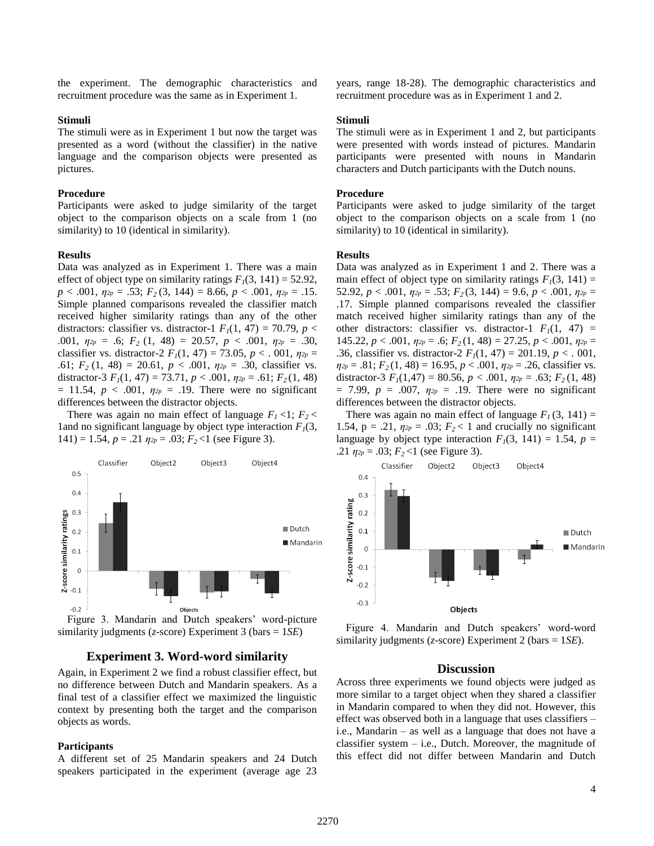the experiment. The demographic characteristics and recruitment procedure was the same as in Experiment 1.

### **Stimuli**

The stimuli were as in Experiment 1 but now the target was presented as a word (without the classifier) in the native language and the comparison objects were presented as pictures.

### **Procedure**

Participants were asked to judge similarity of the target object to the comparison objects on a scale from 1 (no similarity) to 10 (identical in similarity).

### **Results**

Data was analyzed as in Experiment 1. There was a main effect of object type on similarity ratings  $F_I(3, 141) = 52.92$ , *p* < .001, *η2p* = .53; *F2* (3, 144) = 8.66, *p* < .001, *η2p* = .15. Simple planned comparisons revealed the classifier match received higher similarity ratings than any of the other distractors: classifier vs. distractor-1  $F_I(1, 47) = 70.79$ ,  $p <$ .001, *η2p* = .6; *F2* (1, 48) = 20.57, *p* < .001, *η2p* = .30, classifier vs. distractor-2  $F_1(1, 47) = 73.05$ ,  $p < .001$ ,  $\eta_{2p} =$ .61;  $F_2$  (1, 48) = 20.61,  $p < .001$ ,  $\eta_{2p} = .30$ , classifier vs. distractor-3  $F_1(1, 47) = 73.71, p < .001, \eta_{2p} = .61; F_2(1, 48)$  $= 11.54, p < .001, \eta_{2p} = .19$ . There were no significant differences between the distractor objects.

There was again no main effect of language  $F_1$  <1;  $F_2$  < 1 and no significant language by object type interaction  $F_1(3)$ ,  $141$ ) = 1.54,  $p = .21$   $\eta_{2p} = .03$ ;  $F_2 < 1$  (see Figure 3).



Figure 3. Mandarin and Dutch speakers' word-picture similarity judgments (*z*-score) Experiment 3 (bars = 1*SE*)

### **Experiment 3. Word-word similarity**

Again, in Experiment 2 we find a robust classifier effect, but no difference between Dutch and Mandarin speakers. As a final test of a classifier effect we maximized the linguistic context by presenting both the target and the comparison objects as words.

#### **Participants**

A different set of 25 Mandarin speakers and 24 Dutch speakers participated in the experiment (average age 23 years, range 18-28). The demographic characteristics and recruitment procedure was as in Experiment 1 and 2.

#### **Stimuli**

The stimuli were as in Experiment 1 and 2, but participants were presented with words instead of pictures. Mandarin participants were presented with nouns in Mandarin characters and Dutch participants with the Dutch nouns.

### **Procedure**

Participants were asked to judge similarity of the target object to the comparison objects on a scale from 1 (no similarity) to 10 (identical in similarity).

### **Results**

Data was analyzed as in Experiment 1 and 2. There was a main effect of object type on similarity ratings  $F_1(3, 141) =$ 52.92,  $p < .001$ ,  $\eta_{2p} = .53$ ;  $F_2(3, 144) = 9.6$ ,  $p < .001$ ,  $\eta_{2p} =$ .17. Simple planned comparisons revealed the classifier match received higher similarity ratings than any of the other distractors: classifier vs. distractor-1  $F_I(1, 47)$  = 145.22,  $p < .001$ ,  $\eta_{2p} = .6$ ;  $F_2(1, 48) = 27.25$ ,  $p < .001$ ,  $\eta_{2p} =$ .36, classifier vs. distractor-2  $F_I(1, 47) = 201.19, p < .001$ ,  $\eta_{2p} = .81$ ;  $F_2(1, 48) = 16.95$ ,  $p < .001$ ,  $\eta_{2p} = .26$ , classifier vs. distractor-3  $F_I(1,47) = 80.56, p < .001, \eta_{2p} = .63; F_2(1, 48)$  $= 7.99, p = .007, \eta_{2p} = .19$ . There were no significant differences between the distractor objects.

There was again no main effect of language  $F_1(3, 141) =$ 1.54,  $p = .21$ ,  $\eta_{2p} = .03$ ;  $F_2 < 1$  and crucially no significant language by object type interaction  $F<sub>1</sub>(3, 141) = 1.54$ ,  $p =$ .21  $\eta_{2p} = .03$ ;  $F_2 < 1$  (see Figure 3).



Figure 4. Mandarin and Dutch speakers' word-word similarity judgments (*z*-score) Experiment 2 (bars = 1*SE*).

### **Discussion**

Across three experiments we found objects were judged as more similar to a target object when they shared a classifier in Mandarin compared to when they did not. However, this effect was observed both in a language that uses classifiers – i.e., Mandarin – as well as a language that does not have a classifier system – i.e., Dutch. Moreover, the magnitude of this effect did not differ between Mandarin and Dutch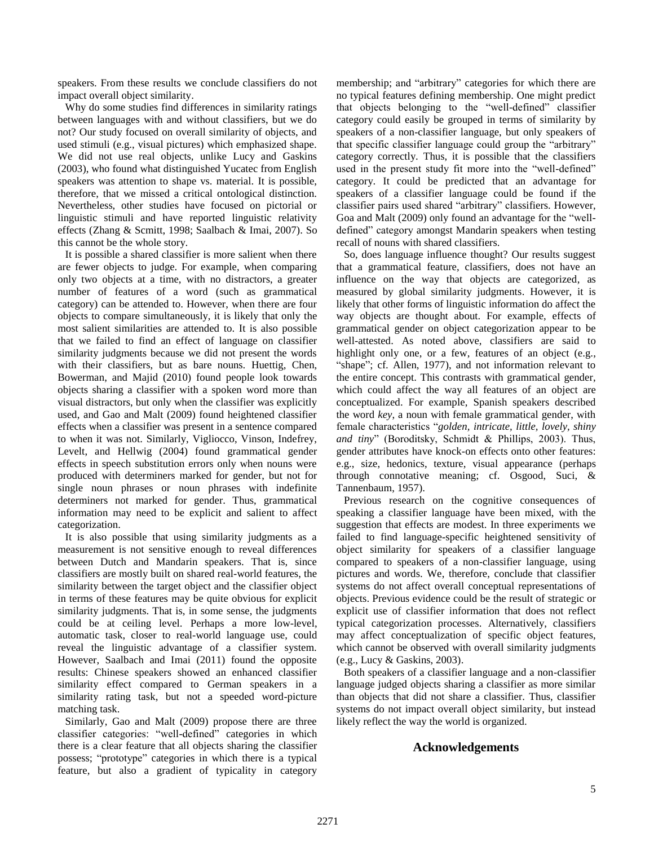speakers. From these results we conclude classifiers do not impact overall object similarity.

Why do some studies find differences in similarity ratings between languages with and without classifiers, but we do not? Our study focused on overall similarity of objects, and used stimuli (e.g., visual pictures) which emphasized shape. We did not use real objects, unlike Lucy and Gaskins (2003), who found what distinguished Yucatec from English speakers was attention to shape vs. material. It is possible, therefore, that we missed a critical ontological distinction. Nevertheless, other studies have focused on pictorial or linguistic stimuli and have reported linguistic relativity effects (Zhang & Scmitt, 1998; Saalbach & Imai, 2007). So this cannot be the whole story.

It is possible a shared classifier is more salient when there are fewer objects to judge. For example, when comparing only two objects at a time, with no distractors, a greater number of features of a word (such as grammatical category) can be attended to. However, when there are four objects to compare simultaneously, it is likely that only the most salient similarities are attended to. It is also possible that we failed to find an effect of language on classifier similarity judgments because we did not present the words with their classifiers, but as bare nouns. Huettig, Chen, Bowerman, and Majid (2010) found people look towards objects sharing a classifier with a spoken word more than visual distractors, but only when the classifier was explicitly used, and Gao and Malt (2009) found heightened classifier effects when a classifier was present in a sentence compared to when it was not. Similarly, Vigliocco, Vinson, Indefrey, Levelt, and Hellwig (2004) found grammatical gender effects in speech substitution errors only when nouns were produced with determiners marked for gender, but not for single noun phrases or noun phrases with indefinite determiners not marked for gender. Thus, grammatical information may need to be explicit and salient to affect categorization.

It is also possible that using similarity judgments as a measurement is not sensitive enough to reveal differences between Dutch and Mandarin speakers. That is, since classifiers are mostly built on shared real-world features, the similarity between the target object and the classifier object in terms of these features may be quite obvious for explicit similarity judgments. That is, in some sense, the judgments could be at ceiling level. Perhaps a more low-level, automatic task, closer to real-world language use, could reveal the linguistic advantage of a classifier system. However, Saalbach and Imai (2011) found the opposite results: Chinese speakers showed an enhanced classifier similarity effect compared to German speakers in a similarity rating task, but not a speeded word-picture matching task.

Similarly, Gao and Malt (2009) propose there are three classifier categories: "well-defined" categories in which there is a clear feature that all objects sharing the classifier possess; "prototype" categories in which there is a typical feature, but also a gradient of typicality in category membership; and "arbitrary" categories for which there are no typical features defining membership. One might predict that objects belonging to the "well-defined" classifier category could easily be grouped in terms of similarity by speakers of a non-classifier language, but only speakers of that specific classifier language could group the "arbitrary" category correctly. Thus, it is possible that the classifiers used in the present study fit more into the "well-defined" category. It could be predicted that an advantage for speakers of a classifier language could be found if the classifier pairs used shared "arbitrary" classifiers. However, Goa and Malt (2009) only found an advantage for the "welldefined" category amongst Mandarin speakers when testing recall of nouns with shared classifiers.

So, does language influence thought? Our results suggest that a grammatical feature, classifiers, does not have an influence on the way that objects are categorized, as measured by global similarity judgments. However, it is likely that other forms of linguistic information do affect the way objects are thought about. For example, effects of grammatical gender on object categorization appear to be well-attested. As noted above, classifiers are said to highlight only one, or a few, features of an object (e.g., "shape"; cf. Allen, 1977), and not information relevant to the entire concept. This contrasts with grammatical gender, which could affect the way all features of an object are conceptualized. For example, Spanish speakers described the word *key*, a noun with female grammatical gender, with female characteristics "*golden, intricate, little, lovely, shiny and tiny*" (Boroditsky, Schmidt & Phillips, 2003). Thus, gender attributes have knock-on effects onto other features: e.g., size, hedonics, texture, visual appearance (perhaps through connotative meaning; cf. Osgood, Suci, & Tannenbaum, 1957).

Previous research on the cognitive consequences of speaking a classifier language have been mixed, with the suggestion that effects are modest. In three experiments we failed to find language-specific heightened sensitivity of object similarity for speakers of a classifier language compared to speakers of a non-classifier language, using pictures and words. We, therefore, conclude that classifier systems do not affect overall conceptual representations of objects. Previous evidence could be the result of strategic or explicit use of classifier information that does not reflect typical categorization processes. Alternatively, classifiers may affect conceptualization of specific object features, which cannot be observed with overall similarity judgments (e.g., Lucy & Gaskins, 2003).

Both speakers of a classifier language and a non-classifier language judged objects sharing a classifier as more similar than objects that did not share a classifier. Thus, classifier systems do not impact overall object similarity, but instead likely reflect the way the world is organized.

# **Acknowledgements**